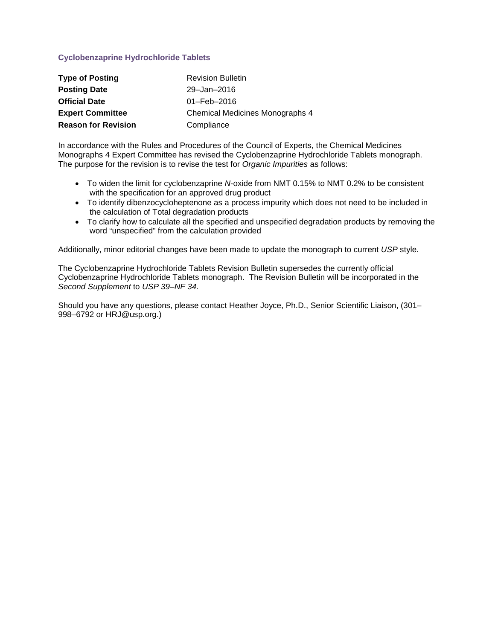# **Cyclobenzaprine Hydrochloride Tablets**

| <b>Type of Posting</b>     | <b>Revision Bulletin</b>               |
|----------------------------|----------------------------------------|
| <b>Posting Date</b>        | 29-Jan-2016                            |
| <b>Official Date</b>       | $01 - \text{Feb} - 2016$               |
| <b>Expert Committee</b>    | <b>Chemical Medicines Monographs 4</b> |
| <b>Reason for Revision</b> | Compliance                             |

In accordance with the Rules and Procedures of the Council of Experts, the Chemical Medicines Monographs 4 Expert Committee has revised the Cyclobenzaprine Hydrochloride Tablets monograph. The purpose for the revision is to revise the test for *Organic Impurities* as follows:

- To widen the limit for cyclobenzaprine *N*-oxide from NMT 0.15% to NMT 0.2% to be consistent with the specification for an approved drug product
- To identify dibenzocycloheptenone as a process impurity which does not need to be included in the calculation of Total degradation products
- To clarify how to calculate all the specified and unspecified degradation products by removing the word "unspecified" from the calculation provided

Additionally, minor editorial changes have been made to update the monograph to current *USP* style.

The Cyclobenzaprine Hydrochloride Tablets Revision Bulletin supersedes the currently official Cyclobenzaprine Hydrochloride Tablets monograph. The Revision Bulletin will be incorporated in the *Second Supplement* to *USP 39–NF 34*.

Should you have any questions, please contact Heather Joyce, Ph.D., Senior Scientific Liaison, (301– 998–6792 or HRJ@usp.org.)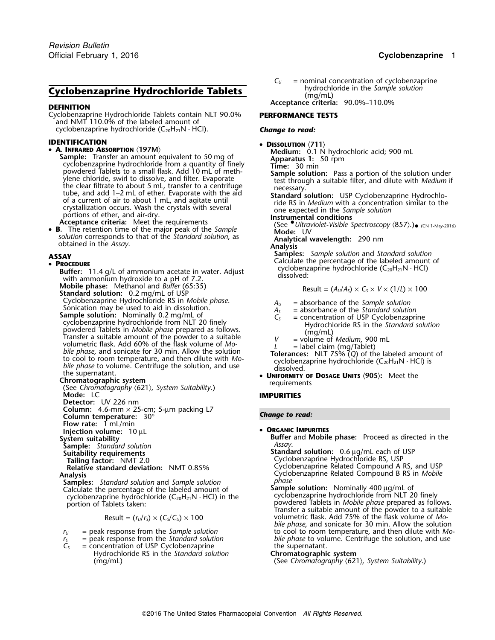# **Cyclobenzaprine Hydrochloride Tablets Cyclobenzaprine Hydrochloride Tablets** (mg/mL)

Cyclobenzaprine Hydrochloride Tablets contain NLT 90.0% **PERFORMANCE TESTS** and NMT 110.0% of the labeled amount of cyclobenzaprine hydrochloride (C<sub>20</sub>H<sub>21</sub>N · HCl). **Change to read:** 

- 
- **DENTIFICATION**<br>  **A. INFRARED ABSORPTION** (197M)<br>  **A. INFRARED ABSORPTION** (197M)<br>
Sample: Transfer an amount equivalent to 50 mg of<br>
cyclobenzaprine hydrochloride from a quantity of finely<br>
Time: 30 min cyclobenzaprine hydrochloride from a quantity of finely<br>powdered Tablets to a small flask. Add 10 mL of meth-<br>ylene chloride, swirl to dissolve, and filter. Evaporate<br>the clear filtrate to about 5 mL, transfer to a centrif

• **B.** The retention time of the major peak of the Sample<br>solution corresponds to that of the Standard solution, as<br>obtained in the Assay.<br>**Analysis** Analysis<br>**Analysis** Analysis

### **PROCEDURE**

**Buffer:** 11.4 g/L of ammonium acetate in water. Adjust cycloberize with ammonium hydroxide to a pH of 7.2. **Mobile phase:** Methanol and *Buffer* (65:35)<br>**Standard solution:** 0.2 mg/mL of USP<br>Cyclobenzaprine Hydrochloride RS in *Mobile phase*. Cyclopenzaprine Hydrochloride RS in Mobile phase.<br>
Sample solution: Nominally 0.2 mg/mL of<br>
Sample solution: Nominally 0.2 mg/mL of<br>
cyclobenzaprine hydrochloride from NLT 20 finely<br>
powdered Tablets in Mobile phase prepa

- 
- **<sup>U</sup>NIFORMITY OF DOSAGE UNITS** 〈**905**〉**:** Meet the **Chromatographic system** requirements (See *Chromatography* 〈621〉*, System Suitability*.)

**Detector:** UV 226 nm

**Column:** 4.6-mm × 25-cm; 5-µm packing L7 **Column temperature:** *Change to read:* 30°

**Flow rate:** 1 mL/min

**CORGANIC IMPURITIES**<br> **Injection volume:** 10 µL<br> **System suitability CORGANIC IMPURITIES** 

**Sample:** *Standard solution*<br>**Suitability requirements** 

**Samples:** *Standard solution* and *Sample solution <sup>p</sup>hase* Calculate the percentage of the labeled amount of **Sample solution:** Nominally 400 µg/mL of Calculate the percentage of the labeled amount of **Sample solution:** Nominally 400 µg/mL of cyclobenzaprine hydrochloride from NLT cyclobenzaprine hydrochloride ( $C_{20}H_{21}N \cdot HCl$ ) in the

$$
\text{Result} = (r_{\text{U}}/r_{\text{s}}) \times (C_{\text{s}}/C_{\text{U}}) \times 100
$$

- 
- 
- 
- = concentration of USP Cyclobenzaprine the supernatant.<br>
Hydrochloride RS in the *Standard solution* **Chromatographic system** Hydrochloride RS in the *Standard solution*<br>(mg/mL)

 $C_U$  = nominal concentration of cyclobenzaprine hydrochloride in the *Sample solution* 

**Acceptance criteria:** 90.0%–110.0% **DEFINITION**

**IDENTIFICATION** • DISSOLUTION  $\langle 711 \rangle$ 

Experimental conditions of ether, and air-dry.<br>
portions of ether, and air-dry.<br> **Acceptance criteria:** Meet the requirements (See Ultraviolet-Visible Spectroscopy (857).)<br> **A.** The retention time of the major peak of the

**Samples:** *Sample solution* and *Standard solution*<br> **• PROCEDURE** Calculate the percentage of the labeled amount of • Calculate the percentage of the labeled amount of • **PROCEDURE Puffor:** 114 all of • **procentium** ac

$$
Result = (A_U/A_S) \times C_S \times V \times (1/L) \times 100
$$

- 
- -
- 
- 
- 
- 

### **IMPURITIES**

•

**Buffer** and **Mobile phase:** Proceed as directed in the *Assav*.

**Suitability requirements Standard solution:** 0.6 <sup>µ</sup>g/mL each of USP **Tailing factor:** NMT 2.0<br>**Tailing factor:** NMT 2.0 Cyclobenzaprine Hydrochloride RS, USP<br>Relative standard deviation: NMT 0.85% Cyclobenzaprine Related Compound A I **Cyclobenzaprine Related Compound A RS, and USP Analysis** Cyclobenzaprine Related Compound B RS in *Mobile*

portion of Tablets taken: powdered Tablets in *Mobile phase* prepared as follows. Transfer a suitable amount of the powder to a suitable Result = (*<sup>r</sup>* volumetric flask. Add 75% of the flask volume of *Mo- <sup>U</sup>*/*<sup>r</sup>S*) × (*CS*/*CU*) ×<sup>100</sup> *bile phase*, and sonicate for 30 min. Allow the solution *r*<sub>*U*</sub> = peak response from the *Sample solution* to cool to room temperature, and then dilute with *Mo-*<br> *r*<sub>*I*</sub> = peak response from the *Standard solution* bile phase to volume. Centrifuge the solution, and use *r*<sub>S</sub> = peak response from the *Standard solution bile phase* to volume. Centrifuge the solution, and use  $C_5$  = concentration of USP Cyclobenzaprine **the supermatant**.

(mg/mL) (See *Chromatography* 〈621〉*, System Suitability*.)